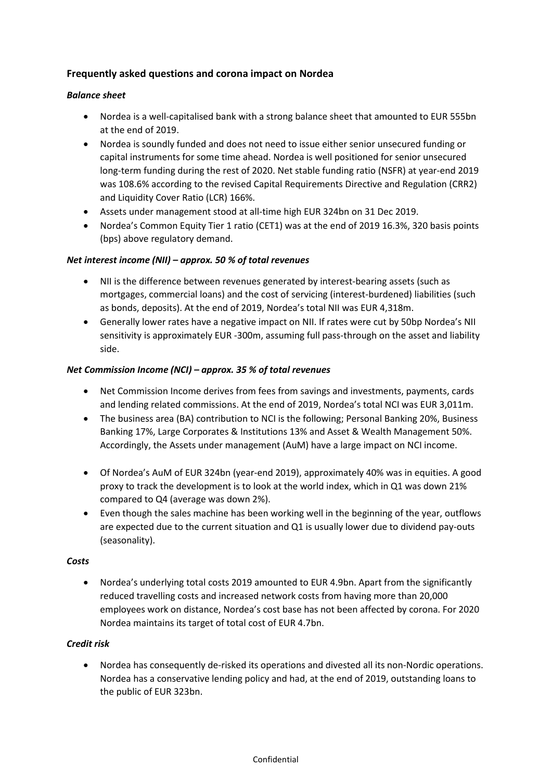# **Frequently asked questions and corona impact on Nordea**

### *Balance sheet*

- Nordea is a well-capitalised bank with a strong balance sheet that amounted to EUR 555bn at the end of 2019.
- Nordea is soundly funded and does not need to issue either senior unsecured funding or capital instruments for some time ahead. Nordea is well positioned for senior unsecured long-term funding during the rest of 2020. Net stable funding ratio (NSFR) at year-end 2019 was 108.6% according to the revised Capital Requirements Directive and Regulation (CRR2) and Liquidity Cover Ratio (LCR) 166%.
- Assets under management stood at all-time high EUR 324bn on 31 Dec 2019.
- Nordea's Common Equity Tier 1 ratio (CET1) was at the end of 2019 16.3%, 320 basis points (bps) above regulatory demand.

### *Net interest income (NII) – approx. 50 % of total revenues*

- NII is the difference between revenues generated by interest-bearing assets (such as mortgages, commercial loans) and the cost of servicing (interest-burdened) liabilities (such as bonds, deposits). At the end of 2019, Nordea's total NII was EUR 4,318m.
- Generally lower rates have a negative impact on NII. If rates were cut by 50bp Nordea's NII sensitivity is approximately EUR -300m, assuming full pass-through on the asset and liability side.

### *Net Commission Income (NCI) – approx. 35 % of total revenues*

- Net Commission Income derives from fees from savings and investments, payments, cards and lending related commissions. At the end of 2019, Nordea's total NCI was EUR 3,011m.
- The business area (BA) contribution to NCI is the following; Personal Banking 20%, Business Banking 17%, Large Corporates & Institutions 13% and Asset & Wealth Management 50%. Accordingly, the Assets under management (AuM) have a large impact on NCI income.
- Of Nordea's AuM of EUR 324bn (year-end 2019), approximately 40% was in equities. A good proxy to track the development is to look at the world index, which in Q1 was down 21% compared to Q4 (average was down 2%).
- Even though the sales machine has been working well in the beginning of the year, outflows are expected due to the current situation and Q1 is usually lower due to dividend pay-outs (seasonality).

#### *Costs*

• Nordea's underlying total costs 2019 amounted to EUR 4.9bn. Apart from the significantly reduced travelling costs and increased network costs from having more than 20,000 employees work on distance, Nordea's cost base has not been affected by corona. For 2020 Nordea maintains its target of total cost of EUR 4.7bn.

## *Credit risk*

• Nordea has consequently de-risked its operations and divested all its non-Nordic operations. Nordea has a conservative lending policy and had, at the end of 2019, outstanding loans to the public of EUR 323bn.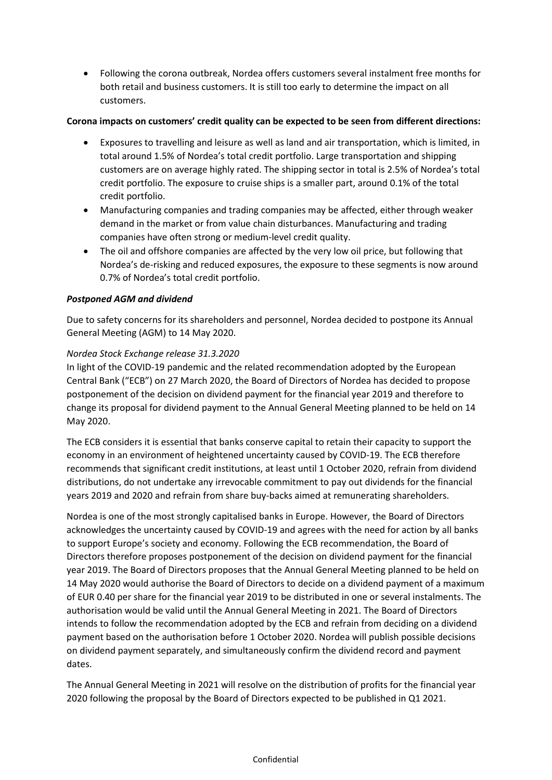• Following the corona outbreak, Nordea offers customers several instalment free months for both retail and business customers. It is still too early to determine the impact on all customers.

### **Corona impacts on customers' credit quality can be expected to be seen from different directions:**

- Exposures to travelling and leisure as well as land and air transportation, which is limited, in total around 1.5% of Nordea's total credit portfolio. Large transportation and shipping customers are on average highly rated. The shipping sector in total is 2.5% of Nordea's total credit portfolio. The exposure to cruise ships is a smaller part, around 0.1% of the total credit portfolio.
- Manufacturing companies and trading companies may be affected, either through weaker demand in the market or from value chain disturbances. Manufacturing and trading companies have often strong or medium-level credit quality.
- The oil and offshore companies are affected by the very low oil price, but following that Nordea's de-risking and reduced exposures, the exposure to these segments is now around 0.7% of Nordea's total credit portfolio.

## *Postponed AGM and dividend*

Due to safety concerns for its shareholders and personnel, Nordea decided to postpone its Annual General Meeting (AGM) to 14 May 2020.

### *Nordea Stock Exchange release 31.3.2020*

In light of the COVID-19 pandemic and the related recommendation adopted by the European Central Bank ("ECB") on 27 March 2020, the Board of Directors of Nordea has decided to propose postponement of the decision on dividend payment for the financial year 2019 and therefore to change its proposal for dividend payment to the Annual General Meeting planned to be held on 14 May 2020.

The ECB considers it is essential that banks conserve capital to retain their capacity to support the economy in an environment of heightened uncertainty caused by COVID-19. The ECB therefore recommends that significant credit institutions, at least until 1 October 2020, refrain from dividend distributions, do not undertake any irrevocable commitment to pay out dividends for the financial years 2019 and 2020 and refrain from share buy-backs aimed at remunerating shareholders.

Nordea is one of the most strongly capitalised banks in Europe. However, the Board of Directors acknowledges the uncertainty caused by COVID-19 and agrees with the need for action by all banks to support Europe's society and economy. Following the ECB recommendation, the Board of Directors therefore proposes postponement of the decision on dividend payment for the financial year 2019. The Board of Directors proposes that the Annual General Meeting planned to be held on 14 May 2020 would authorise the Board of Directors to decide on a dividend payment of a maximum of EUR 0.40 per share for the financial year 2019 to be distributed in one or several instalments. The authorisation would be valid until the Annual General Meeting in 2021. The Board of Directors intends to follow the recommendation adopted by the ECB and refrain from deciding on a dividend payment based on the authorisation before 1 October 2020. Nordea will publish possible decisions on dividend payment separately, and simultaneously confirm the dividend record and payment dates.

The Annual General Meeting in 2021 will resolve on the distribution of profits for the financial year 2020 following the proposal by the Board of Directors expected to be published in Q1 2021.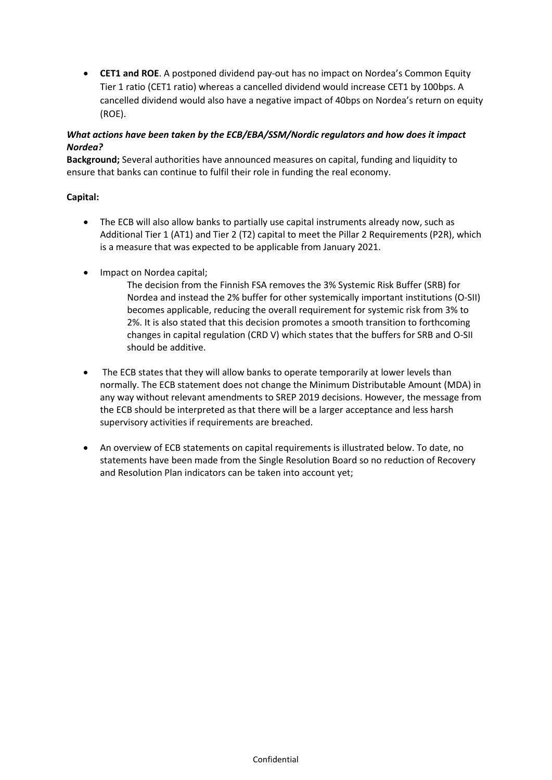• **CET1 and ROE**. A postponed dividend pay-out has no impact on Nordea's Common Equity Tier 1 ratio (CET1 ratio) whereas a cancelled dividend would increase CET1 by 100bps. A cancelled dividend would also have a negative impact of 40bps on Nordea's return on equity (ROE).

## *What actions have been taken by the ECB/EBA/SSM/Nordic regulators and how does it impact Nordea?*

**Background;** Several authorities have announced measures on capital, funding and liquidity to ensure that banks can continue to fulfil their role in funding the real economy.

## **Capital:**

- The ECB will also allow banks to partially use capital instruments already now, such as Additional Tier 1 (AT1) and Tier 2 (T2) capital to meet the Pillar 2 Requirements (P2R), which is a measure that was expected to be applicable from January 2021.
- Impact on Nordea capital;

The decision from the Finnish FSA removes the 3% Systemic Risk Buffer (SRB) for Nordea and instead the 2% buffer for other systemically important institutions (O-SII) becomes applicable, reducing the overall requirement for systemic risk from 3% to 2%. It is also stated that this decision promotes a smooth transition to forthcoming changes in capital regulation (CRD V) which states that the buffers for SRB and O-SII should be additive.

- The ECB states that they will allow banks to operate temporarily at lower levels than normally. The ECB statement does not change the Minimum Distributable Amount (MDA) in any way without relevant amendments to SREP 2019 decisions. However, the message from the ECB should be interpreted as that there will be a larger acceptance and less harsh supervisory activities if requirements are breached.
- An overview of ECB statements on capital requirements is illustrated below. To date, no statements have been made from the Single Resolution Board so no reduction of Recovery and Resolution Plan indicators can be taken into account yet;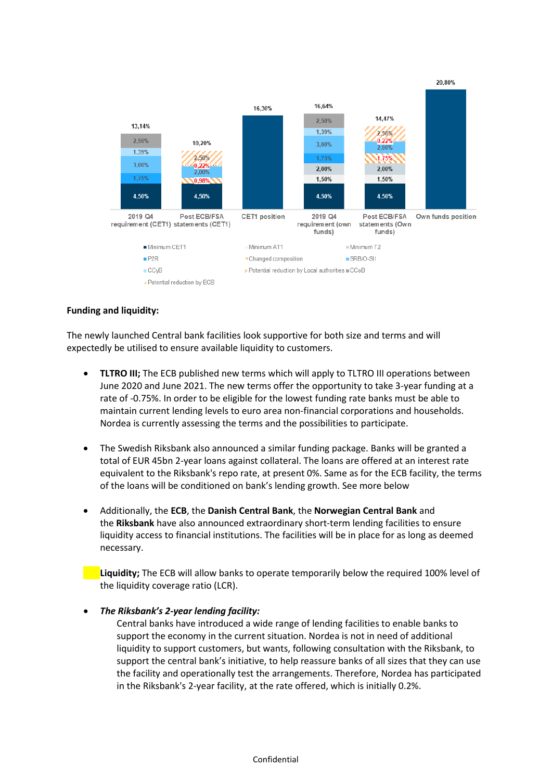

### **Funding and liquidity:**

The newly launched Central bank facilities look supportive for both size and terms and will expectedly be utilised to ensure available liquidity to customers.

- **TLTRO III;** The ECB published new terms which will apply to TLTRO III operations between June 2020 and June 2021. The new terms offer the opportunity to take 3-year funding at a rate of -0.75%. In order to be eligible for the lowest funding rate banks must be able to maintain current lending levels to euro area non-financial corporations and households. Nordea is currently assessing the terms and the possibilities to participate.
- The Swedish Riksbank also announced a similar funding package. Banks will be granted a total of EUR 45bn 2-year loans against collateral. The loans are offered at an interest rate equivalent to the Riksbank's repo rate, at present 0%. Same as for the ECB facility, the terms of the loans will be conditioned on bank's lending growth. See more below
- Additionally, the **ECB**, the **Danish Central Bank**, the **Norwegian Central Bank** and the **Riksbank** have also announced extraordinary short-term lending facilities to ensure liquidity access to financial institutions. The facilities will be in place for as long as deemed necessary.

• **Liquidity;** The ECB will allow banks to operate temporarily below the required 100% level of the liquidity coverage ratio (LCR).

#### • *The Riksbank's 2-year lending facility:*

Central banks have introduced a wide range of lending facilities to enable banks to support the economy in the current situation. Nordea is not in need of additional liquidity to support customers, but wants, following consultation with the Riksbank, to support the central bank's initiative, to help reassure banks of all sizes that they can use the facility and operationally test the arrangements. Therefore, Nordea has participated in the Riksbank's 2-year facility, at the rate offered, which is initially 0.2%.